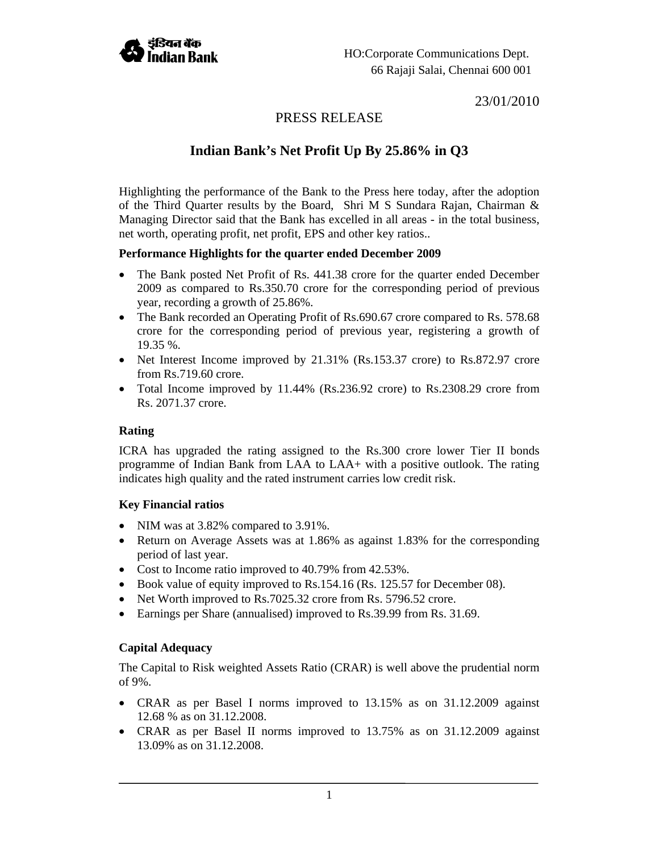

23/01/2010

# PRESS RELEASE

# **Indian Bank's Net Profit Up By 25.86% in Q3**

Highlighting the performance of the Bank to the Press here today, after the adoption of the Third Quarter results by the Board, Shri M S Sundara Rajan, Chairman & Managing Director said that the Bank has excelled in all areas - in the total business, net worth, operating profit, net profit, EPS and other key ratios..

## **Performance Highlights for the quarter ended December 2009**

- The Bank posted Net Profit of Rs. 441.38 crore for the quarter ended December 2009 as compared to Rs.350.70 crore for the corresponding period of previous year, recording a growth of 25.86%.
- The Bank recorded an Operating Profit of Rs.690.67 crore compared to Rs. 578.68 crore for the corresponding period of previous year, registering a growth of 19.35 %.
- Net Interest Income improved by 21.31% (Rs.153.37 crore) to Rs.872.97 crore from Rs.719.60 crore.
- Total Income improved by 11.44% (Rs.236.92 crore) to Rs.2308.29 crore from Rs. 2071.37 crore.

# **Rating**

ICRA has upgraded the rating assigned to the Rs.300 crore lower Tier II bonds programme of Indian Bank from LAA to LAA+ with a positive outlook. The rating indicates high quality and the rated instrument carries low credit risk.

# **Key Financial ratios**

- NIM was at 3.82% compared to 3.91%.
- Return on Average Assets was at 1.86% as against 1.83% for the corresponding period of last year.
- Cost to Income ratio improved to 40.79% from 42.53%.
- Book value of equity improved to Rs.154.16 (Rs. 125.57 for December 08).
- Net Worth improved to Rs.7025.32 crore from Rs. 5796.52 crore.
- Earnings per Share (annualised) improved to Rs.39.99 from Rs. 31.69.

# **Capital Adequacy**

The Capital to Risk weighted Assets Ratio (CRAR) is well above the prudential norm of 9%.

- CRAR as per Basel I norms improved to 13.15% as on 31.12.2009 against 12.68 % as on 31.12.2008.
- CRAR as per Basel II norms improved to 13.75% as on 31.12.2009 against 13.09% as on 31.12.2008.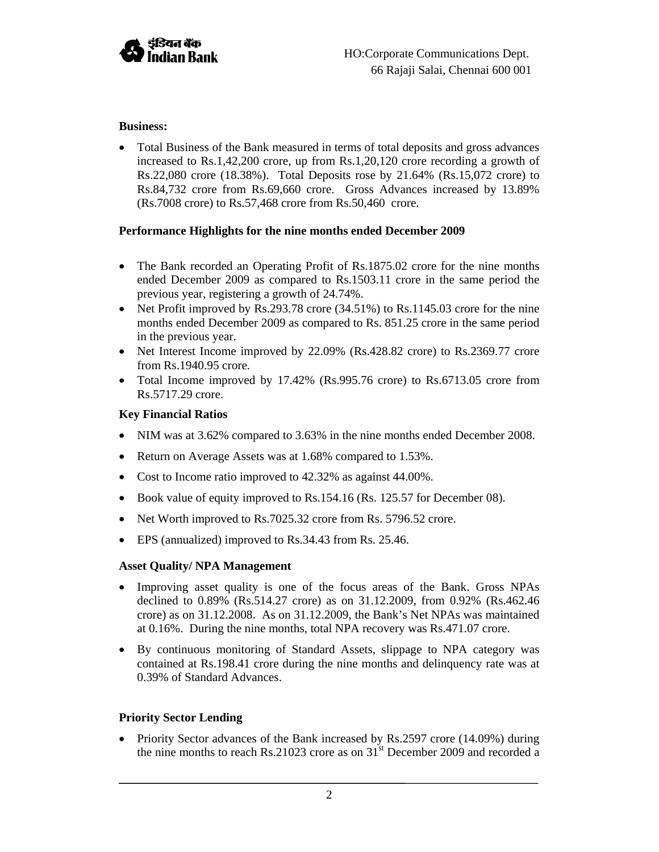

# **Business:**

• Total Business of the Bank measured in terms of total deposits and gross advances increased to Rs.1,42,200 crore, up from Rs.1,20,120 crore recording a growth of Rs.22,080 crore (18.38%). Total Deposits rose by 21.64% (Rs.15,072 crore) to Rs.84,732 crore from Rs.69,660 crore. Gross Advances increased by 13.89% (Rs.7008 crore) to Rs.57,468 crore from Rs.50,460 crore.

# **Performance Highlights for the nine months ended December 2009**

- The Bank recorded an Operating Profit of Rs.1875.02 crore for the nine months ended December 2009 as compared to Rs.1503.11 crore in the same period the previous year, registering a growth of 24.74%.
- Net Profit improved by Rs.293.78 crore (34.51%) to Rs.1145.03 crore for the nine months ended December 2009 as compared to Rs. 851.25 crore in the same period in the previous year.
- Net Interest Income improved by 22.09% (Rs.428.82 crore) to Rs.2369.77 crore from Rs.1940.95 crore.
- Total Income improved by 17.42% (Rs.995.76 crore) to Rs.6713.05 crore from Rs.5717.29 crore.

## **Key Financial Ratios**

- NIM was at 3.62% compared to 3.63% in the nine months ended December 2008.
- Return on Average Assets was at 1.68% compared to 1.53%.
- Cost to Income ratio improved to 42.32% as against 44.00%.
- Book value of equity improved to Rs.154.16 (Rs. 125.57 for December 08).
- Net Worth improved to Rs.7025.32 crore from Rs. 5796.52 crore.
- EPS (annualized) improved to Rs.34.43 from Rs. 25.46.

#### **Asset Quality/ NPA Management**

- Improving asset quality is one of the focus areas of the Bank. Gross NPAs declined to 0.89% (Rs.514.27 crore) as on 31.12.2009, from 0.92% (Rs.462.46 crore) as on 31.12.2008. As on 31.12.2009, the Bank's Net NPAs was maintained at 0.16%. During the nine months, total NPA recovery was Rs.471.07 crore.
- By continuous monitoring of Standard Assets, slippage to NPA category was contained at Rs.198.41 crore during the nine months and delinquency rate was at 0.39% of Standard Advances.

#### **Priority Sector Lending**

• Priority Sector advances of the Bank increased by Rs.2597 crore (14.09%) during the nine months to reach Rs.21023 crore as on  $31<sup>st</sup>$  December 2009 and recorded a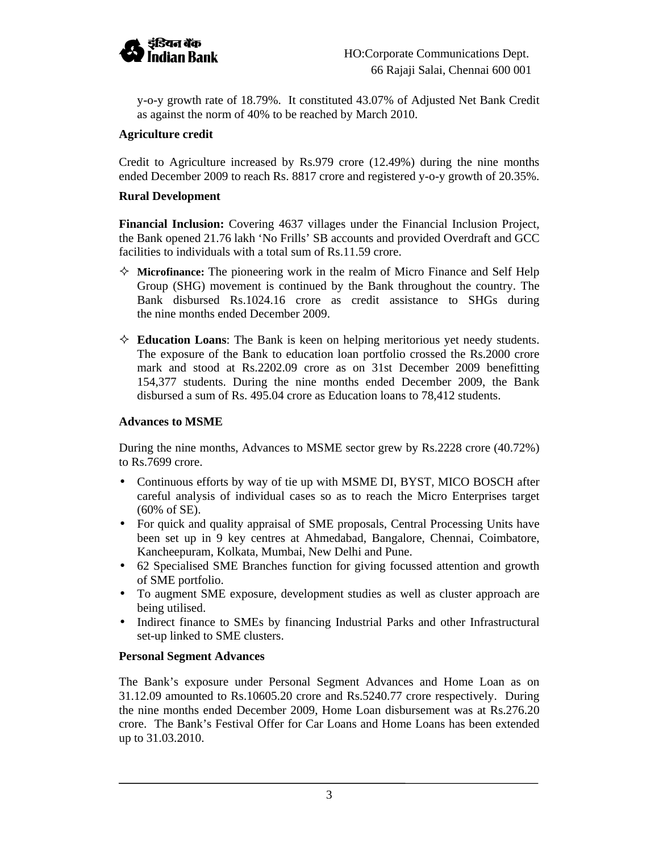

y-o-y growth rate of 18.79%. It constituted 43.07% of Adjusted Net Bank Credit as against the norm of 40% to be reached by March 2010.

## **Agriculture credit**

Credit to Agriculture increased by Rs.979 crore (12.49%) during the nine months ended December 2009 to reach Rs. 8817 crore and registered y-o-y growth of 20.35%.

#### **Rural Development**

**Financial Inclusion:** Covering 4637 villages under the Financial Inclusion Project, the Bank opened 21.76 lakh 'No Frills' SB accounts and provided Overdraft and GCC facilities to individuals with a total sum of Rs.11.59 crore.

- $\Diamond$  **Microfinance:** The pioneering work in the realm of Micro Finance and Self Help Group (SHG) movement is continued by the Bank throughout the country. The Bank disbursed Rs.1024.16 crore as credit assistance to SHGs during the nine months ended December 2009.
- **Education Loans**: The Bank is keen on helping meritorious yet needy students. The exposure of the Bank to education loan portfolio crossed the Rs.2000 crore mark and stood at Rs.2202.09 crore as on 31st December 2009 benefitting 154,377 students. During the nine months ended December 2009, the Bank disbursed a sum of Rs. 495.04 crore as Education loans to 78,412 students.

## **Advances to MSME**

During the nine months, Advances to MSME sector grew by Rs.2228 crore (40.72%) to Rs.7699 crore.

- Continuous efforts by way of tie up with MSME DI, BYST, MICO BOSCH after careful analysis of individual cases so as to reach the Micro Enterprises target (60% of SE).
- For quick and quality appraisal of SME proposals, Central Processing Units have been set up in 9 key centres at Ahmedabad, Bangalore, Chennai, Coimbatore, Kancheepuram, Kolkata, Mumbai, New Delhi and Pune.
- 62 Specialised SME Branches function for giving focussed attention and growth of SME portfolio.
- To augment SME exposure, development studies as well as cluster approach are being utilised.
- Indirect finance to SMEs by financing Industrial Parks and other Infrastructural set-up linked to SME clusters.

#### **Personal Segment Advances**

The Bank's exposure under Personal Segment Advances and Home Loan as on 31.12.09 amounted to Rs.10605.20 crore and Rs.5240.77 crore respectively. During the nine months ended December 2009, Home Loan disbursement was at Rs.276.20 crore. The Bank's Festival Offer for Car Loans and Home Loans has been extended up to 31.03.2010.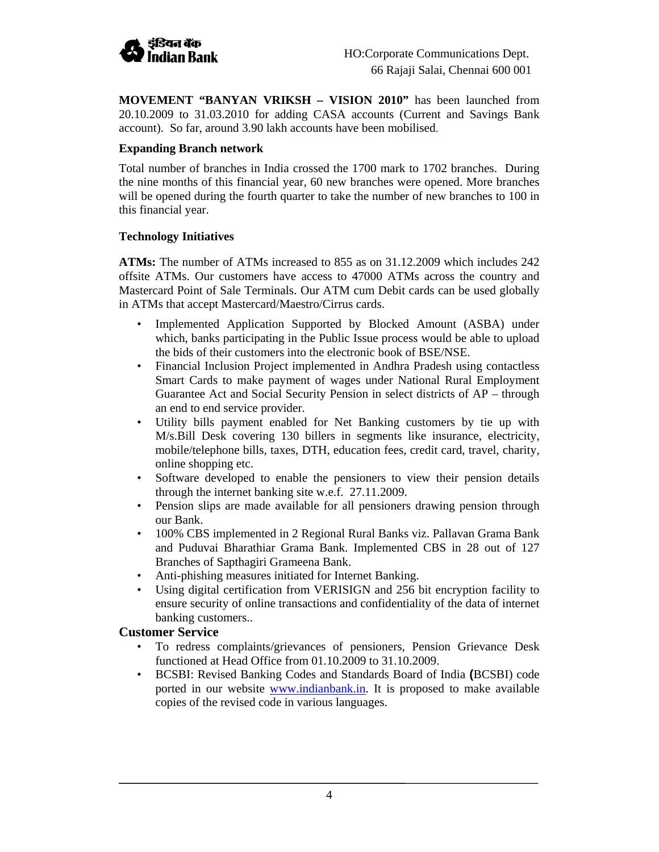

**MOVEMENT "BANYAN VRIKSH – VISION 2010"** has been launched from 20.10.2009 to 31.03.2010 for adding CASA accounts (Current and Savings Bank account). So far, around 3.90 lakh accounts have been mobilised.

## **Expanding Branch network**

Total number of branches in India crossed the 1700 mark to 1702 branches. During the nine months of this financial year, 60 new branches were opened. More branches will be opened during the fourth quarter to take the number of new branches to 100 in this financial year.

## **Technology Initiatives**

**ATMs:** The number of ATMs increased to 855 as on 31.12.2009 which includes 242 offsite ATMs. Our customers have access to 47000 ATMs across the country and Mastercard Point of Sale Terminals. Our ATM cum Debit cards can be used globally in ATMs that accept Mastercard/Maestro/Cirrus cards.

- Implemented Application Supported by Blocked Amount (ASBA) under which, banks participating in the Public Issue process would be able to upload the bids of their customers into the electronic book of BSE/NSE.
- Financial Inclusion Project implemented in Andhra Pradesh using contactless Smart Cards to make payment of wages under National Rural Employment Guarantee Act and Social Security Pension in select districts of AP – through an end to end service provider.
- Utility bills payment enabled for Net Banking customers by tie up with M/s.Bill Desk covering 130 billers in segments like insurance, electricity, mobile/telephone bills, taxes, DTH, education fees, credit card, travel, charity, online shopping etc.
- Software developed to enable the pensioners to view their pension details through the internet banking site w.e.f. 27.11.2009.
- Pension slips are made available for all pensioners drawing pension through our Bank.
- 100% CBS implemented in 2 Regional Rural Banks viz. Pallavan Grama Bank and Puduvai Bharathiar Grama Bank. Implemented CBS in 28 out of 127 Branches of Sapthagiri Grameena Bank.
- Anti-phishing measures initiated for Internet Banking.
- Using digital certification from VERISIGN and 256 bit encryption facility to ensure security of online transactions and confidentiality of the data of internet banking customers..

# **Customer Service**

- To redress complaints/grievances of pensioners, Pension Grievance Desk functioned at Head Office from 01.10.2009 to 31.10.2009.
- BCSBI: Revised Banking Codes and Standards Board of India **(**BCSBI) code ported in our website www.indianbank.in. It is proposed to make available copies of the revised code in various languages.